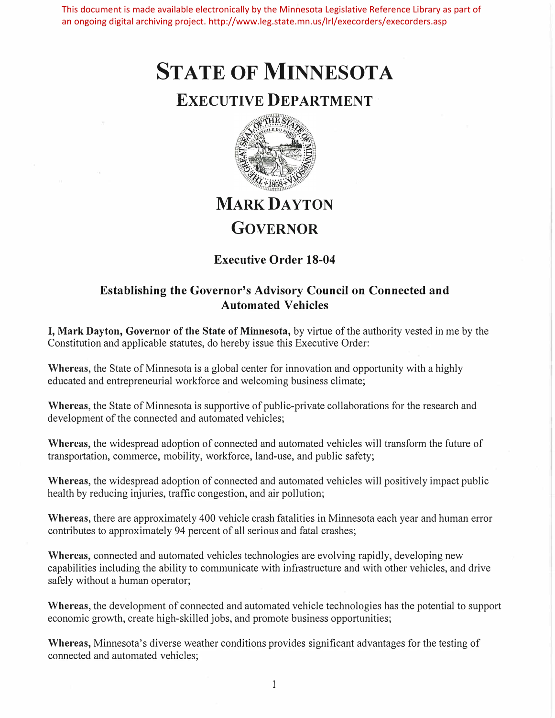This document is made available electronically by the Minnesota Legislative Reference Library as part of an ongoing digital archiving project. http://www.leg.state.mn.us/lrl/execorders/execorders.asp

# **STATE OF MINNESOTA**

### **EXECUTIVE DEPARTMENT**



## **MARK DAYTON GOVERNOR**

### **Executive Order 18-04**

#### **Establishing the Governor's Advisory Council on Connected and Automated Vehicles**

**I, Mark Dayton, Governor of the State of Minnesota,** by virtue of the authority vested in me by the Constitution and applicable statutes, do hereby issue this Executive Order:

Whereas, the State of Minnesota is a global center for innovation and opportunity with a highly educated and entrepreneurial workforce and welcoming business climate;

Whereas, the State of Minnesota is supportive of public-private collaborations for the research and development of the connected and automated vehicles;

**Whereas,** the widespread adoption of connected and automated vehicles will transform the future of transportation, commerce, mobility, workforce, land-use, and public safety;

**Whereas,** the widespread adoption of connected and automated vehicles will positively impact public health by reducing injuries, traffic congestion, and air pollution;

**Whereas,** there are approximately 400 vehicle crash fatalities in Minnesota each year and human error contributes to approximately 94 percent of all serious and fatal crashes;

**Whereas,** connected and automated vehicles technologies are evolving rapidly, developing new capabilities including the ability to communicate with infrastructure and with other vehicles, and drive safely without a human operator;

**Whereas,** the development of connected and automated vehicle technologies has the potential to support economic growth, create high-skilled jobs, and promote business opportunities;

**Whereas,** Minnesota's diverse weather conditions provides significant advantages for the testing of connected and automated vehicles;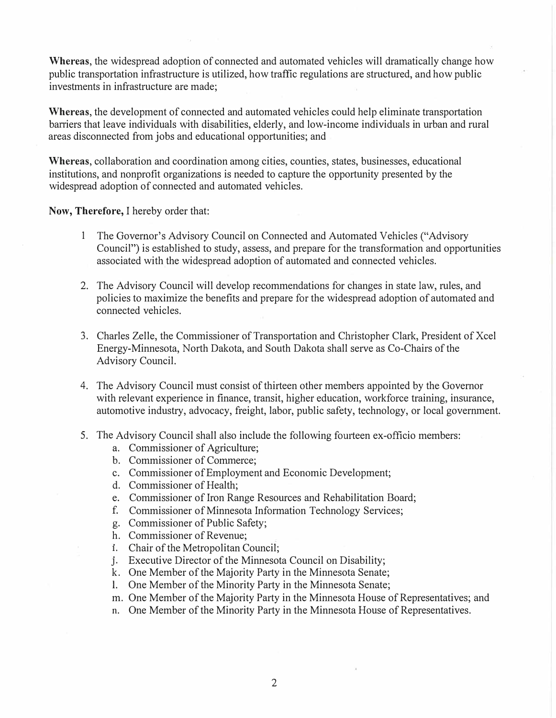**Whereas,** the widespread adoption of connected and automated vehicles will dramatically change how public transportation infrastructure is utilized, how traffic regulations are structured, and how public investments in infrastructure are made;

**Whereas,** the development of connected and automated vehicles could help eliminate transportation barriers that leave individuals with disabilities, elderly, and low-income individuals in urban and rural areas disconnected from jobs and educational opportunities; and

**Whereas,** collaboration and coordination among cities, counties, states, businesses, educational institutions, and nonprofit organizations is needed to capture the opportunity presented by the widespread adoption of connected and automated vehicles.

**Now, Therefore,** I hereby order that:

- 1 The Governor's Advisory Council on Connected and Automated Vehicles ("Advisory Council") is established to study, assess, and prepare for the transformation and opportunities associated with the widespread adoption of automated and connected vehicles.
- 2. The Advisory Council will develop recommendations for changes in state law, rules, and policies to maximize the benefits and prepare for the widespread adoption of automated and connected vehicles.
- 3. Charles Zelle, the Commissioner of Transportation and Christopher Clark, President of Xcel Energy-Minnesota, North Dakota, and South Dakota shall serve as Co-Chairs of the Advisory Council.
- 4. The Advisory Council must consist of thirteen other members appointed by the Governor with relevant experience in finance, transit, higher education, workforce training, insurance, automotive industry, advocacy, freight, labor, public safety, technology, or local government.
- 5. The Advisory Council shall also include the following fomteen ex-officio members:
	- a. Commissioner of Agriculture;
	- b. Commissioner of Commerce;
	- c. Commissioner of Employment and Economic Development;
	- d. Commissioner of Health;
	- e. Commissioner of Iron Range Resources and Rehabilitation Board;
	- f. Commissioner of Minnesota Information Technology Services;
	- g. Commissioner of Public Safety;
	- h. Commissioner of Revenue;
	- **1.** Chair of the Metropolitan Council;
	- J . Executive Director of the Minnesota Council on Disability;
	- k. One Member of the Majority Party in the Minnesota Senate;
	- 1. One Member of the Minority Party in the Minnesota Senate;
	- m. One Member of the Majority Party in the Minnesota House of Representatives; and
	- n. One Member of the Minority Party in the Minnesota House of Representatives.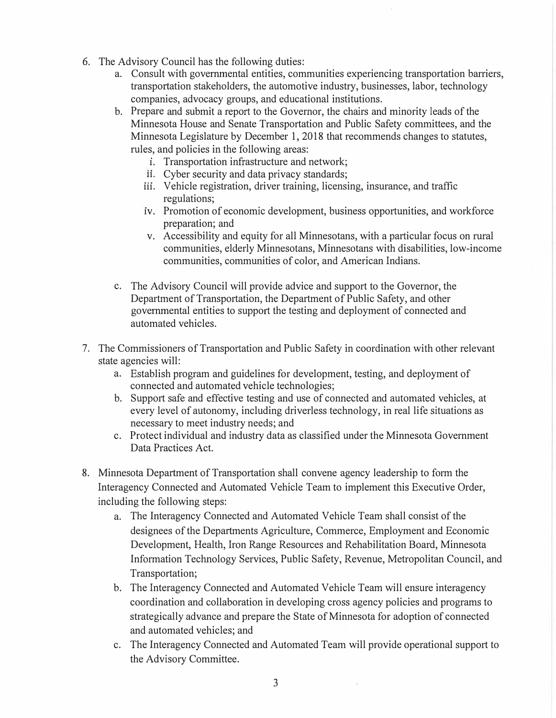- 6. The Advisory Council has the following duties:
	- a. Consult with governmental entities, communities experiencing transportation barriers, transportation stakeholders, the automotive industry, businesses, labor, technology companies, advocacy groups, and educational institutions.
	- b. Prepare and submit a report to the Governor, the chairs and minority leads of the Minnesota House and Senate Transportation and Public Safety committees, and the Minnesota Legislature by December 1, 2018 that recommends changes to statutes, rules, and policies in the following areas:
		- **1.** Transportation infrastructure and network;
		- ii. Cyber security and data privacy standards;
		- iii. Vehicle registration, driver training, licensing, insurance, and traffic regulations;
		- iv. Promotion of economic development, business opportunities, and workforce preparation; and
		- v. Accessibility and equity for all Minnesotans, with a particular focus on rural communities, elderly Minnesotans, Minnesotans with disabilities, low-income communities, communities of color, and American Indians.
	- c. The Advisory Council will provide advice and support to the Governor, the Department of Transportation, the Department of Public Safety, and other governmental entities to support the testing and deployment of connected and automated vehicles.
- 7. The Commissioners of Transportation and Public Safety in coordination with other relevant state agencies will:
	- a. Establish program and guidelines for development, testing, and deployment of connected and automated vehicle technologies;
	- b. Support safe and effective testing and use of connected and automated vehicles, at every level of autonomy, including driverless technology, in real life situations as necessary to meet industry needs; and
	- c. Protect individual and industry data as classified under the Minnesota Government Data Practices Act.
- 8. Minnesota Department of Transportation shall convene agency leadership to form the Interagency Connected and Automated Vehicle Team to implement this Executive Order, including the following steps:
	- a. The Interagency Connected and Automated Vehicle Team shall consist of the designees of the Departments Agriculture, Commerce, Employment and Economic Development, Health, Iron Range Resources and Rehabilitation Board, Minnesota Information Technology Services, Public Safety, Revenue, Metropolitan Council, and Transportation;
	- b. The Interagency Connected and Automated Vehicle Team will ensure interagency coordination and collaboration in developing cross agency policies and programs to strategically advance and prepare the State of Minnesota for adoption of connected and automated vehicles; and
	- c. The Interagency Connected and Automated Team will provide operational support to the Advisory Committee.